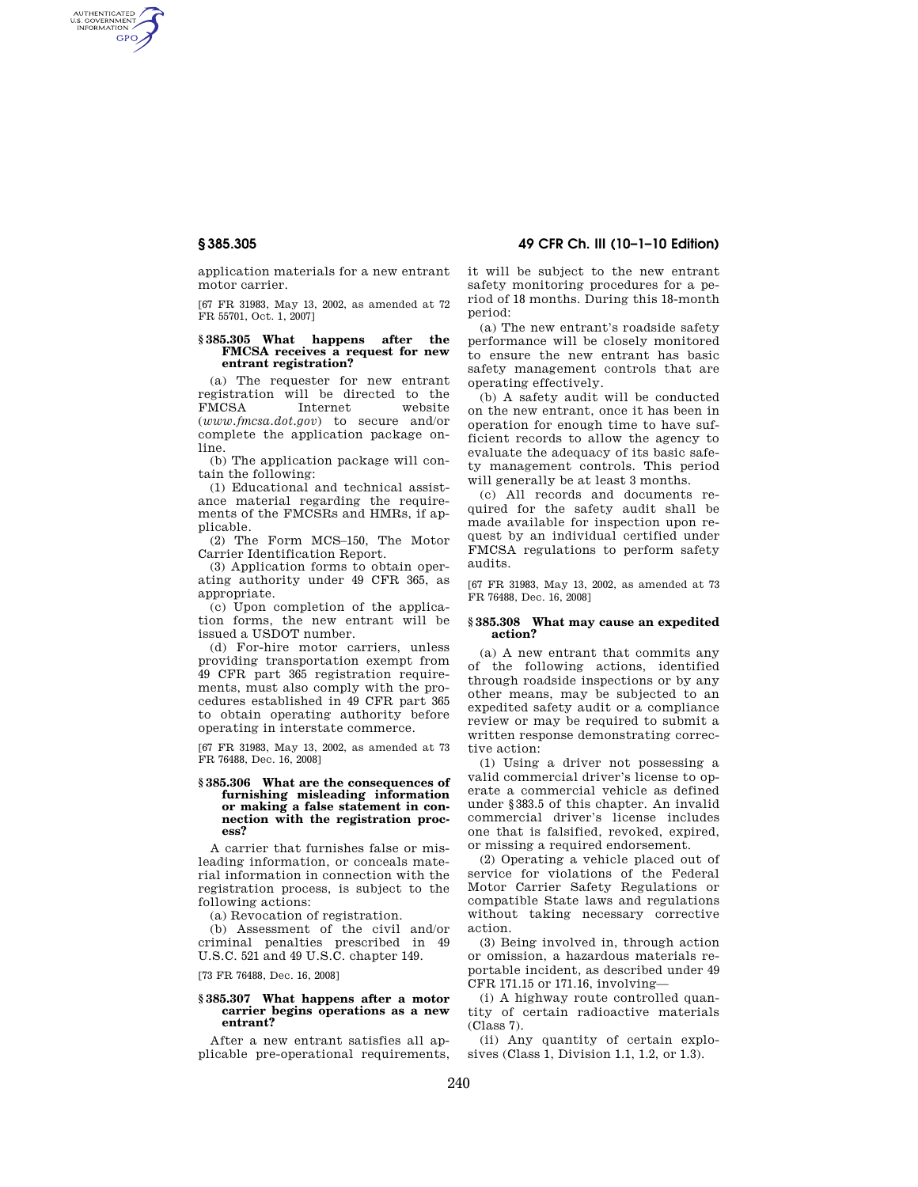AUTHENTICATED<br>U.S. GOVERNMENT<br>INFORMATION **GPO** 

> application materials for a new entrant motor carrier.

[67 FR 31983, May 13, 2002, as amended at 72 FR 55701, Oct. 1, 2007]

## **§ 385.305 What happens after the FMCSA receives a request for new entrant registration?**

(a) The requester for new entrant registration will be directed to the FMCSA Internet website (*www.fmcsa.dot.gov*) to secure and/or complete the application package online.

(b) The application package will contain the following:

(1) Educational and technical assistance material regarding the requirements of the FMCSRs and HMRs, if applicable.

(2) The Form MCS–150, The Motor Carrier Identification Report.

(3) Application forms to obtain operating authority under 49 CFR 365, as appropriate.

(c) Upon completion of the application forms, the new entrant will be issued a USDOT number.

(d) For-hire motor carriers, unless providing transportation exempt from 49 CFR part 365 registration requirements, must also comply with the procedures established in 49 CFR part 365 to obtain operating authority before operating in interstate commerce.

[67 FR 31983, May 13, 2002, as amended at 73 FR 76488, Dec. 16, 2008]

## **§ 385.306 What are the consequences of furnishing misleading information or making a false statement in connection with the registration process?**

A carrier that furnishes false or misleading information, or conceals material information in connection with the registration process, is subject to the following actions:

(a) Revocation of registration.

(b) Assessment of the civil and/or criminal penalties prescribed in 49 U.S.C. 521 and 49 U.S.C. chapter 149.

[73 FR 76488, Dec. 16, 2008]

# **§ 385.307 What happens after a motor carrier begins operations as a new entrant?**

After a new entrant satisfies all applicable pre-operational requirements,

# **§ 385.305 49 CFR Ch. III (10–1–10 Edition)**

it will be subject to the new entrant safety monitoring procedures for a period of 18 months. During this 18-month period:

(a) The new entrant's roadside safety performance will be closely monitored to ensure the new entrant has basic safety management controls that are operating effectively.

(b) A safety audit will be conducted on the new entrant, once it has been in operation for enough time to have sufficient records to allow the agency to evaluate the adequacy of its basic safety management controls. This period will generally be at least 3 months.

(c) All records and documents required for the safety audit shall be made available for inspection upon request by an individual certified under FMCSA regulations to perform safety audits.

[67 FR 31983, May 13, 2002, as amended at 73 FR 76488, Dec. 16, 2008]

## **§ 385.308 What may cause an expedited action?**

(a) A new entrant that commits any of the following actions, identified through roadside inspections or by any other means, may be subjected to an expedited safety audit or a compliance review or may be required to submit a written response demonstrating corrective action:

(1) Using a driver not possessing a valid commercial driver's license to operate a commercial vehicle as defined under §383.5 of this chapter. An invalid commercial driver's license includes one that is falsified, revoked, expired, or missing a required endorsement.

(2) Operating a vehicle placed out of service for violations of the Federal Motor Carrier Safety Regulations or compatible State laws and regulations without taking necessary corrective action.

(3) Being involved in, through action or omission, a hazardous materials reportable incident, as described under 49 CFR 171.15 or 171.16, involving—

(i) A highway route controlled quantity of certain radioactive materials  $(Class 7)$ .

(ii) Any quantity of certain explosives (Class 1, Division 1.1, 1.2, or 1.3).